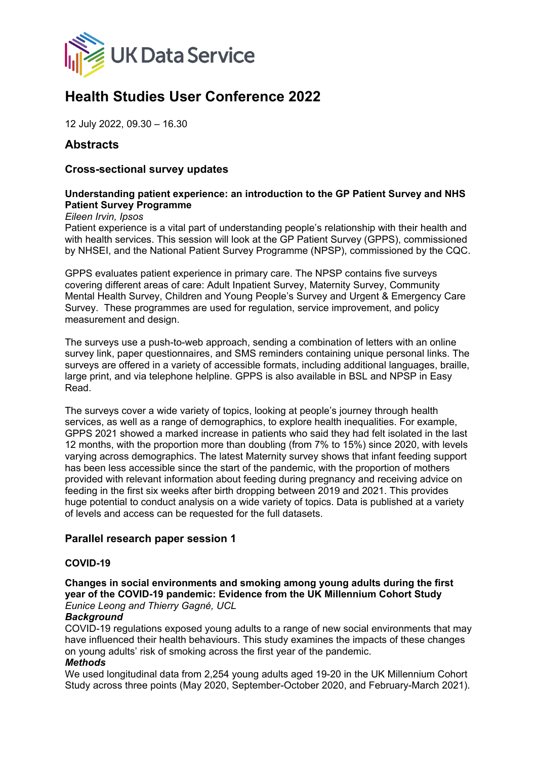

# **Health Studies User Conference 2022**

12 July 2022, 09.30 – 16.30

# **Abstracts**

### **Cross-sectional survey updates**

# **Understanding patient experience: an introduction to the GP Patient Survey and NHS Patient Survey Programme**

*Eileen Irvin, Ipsos*

Patient experience is a vital part of understanding people's relationship with their health and with health services. This session will look at the GP Patient Survey (GPPS), commissioned by NHSEI, and the National Patient Survey Programme (NPSP), commissioned by the CQC.

GPPS evaluates patient experience in primary care. The NPSP contains five surveys covering different areas of care: Adult Inpatient Survey, Maternity Survey, Community Mental Health Survey, Children and Young People's Survey and Urgent & Emergency Care Survey. These programmes are used for regulation, service improvement, and policy measurement and design.

The surveys use a push-to-web approach, sending a combination of letters with an online survey link, paper questionnaires, and SMS reminders containing unique personal links. The surveys are offered in a variety of accessible formats, including additional languages, braille, large print, and via telephone helpline. GPPS is also available in BSL and NPSP in Easy Read.

The surveys cover a wide variety of topics, looking at people's journey through health services, as well as a range of demographics, to explore health inequalities. For example, GPPS 2021 showed a marked increase in patients who said they had felt isolated in the last 12 months, with the proportion more than doubling (from 7% to 15%) since 2020, with levels varying across demographics. The latest Maternity survey shows that infant feeding support has been less accessible since the start of the pandemic, with the proportion of mothers provided with relevant information about feeding during pregnancy and receiving advice on feeding in the first six weeks after birth dropping between 2019 and 2021. This provides huge potential to conduct analysis on a wide variety of topics. Data is published at a variety of levels and access can be requested for the full datasets.

#### **Parallel research paper session 1**

#### **COVID-19**

**Changes in social environments and smoking among young adults during the first year of the COVID-19 pandemic: Evidence from the UK Millennium Cohort Study** *Eunice Leong and Thierry Gagné, UCL*

#### *Background*

COVID-19 regulations exposed young adults to a range of new social environments that may have influenced their health behaviours. This study examines the impacts of these changes on young adults' risk of smoking across the first year of the pandemic.

#### *Methods*

We used longitudinal data from 2,254 young adults aged 19-20 in the UK Millennium Cohort Study across three points (May 2020, September-October 2020, and February-March 2021).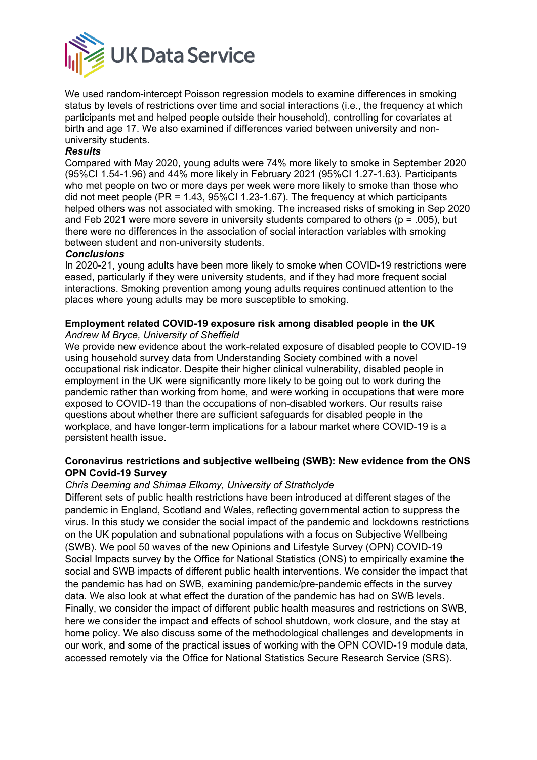

We used random-intercept Poisson regression models to examine differences in smoking status by levels of restrictions over time and social interactions (i.e., the frequency at which participants met and helped people outside their household), controlling for covariates at birth and age 17. We also examined if differences varied between university and nonuniversity students.

#### *Results*

Compared with May 2020, young adults were 74% more likely to smoke in September 2020 (95%CI 1.54-1.96) and 44% more likely in February 2021 (95%CI 1.27-1.63). Participants who met people on two or more days per week were more likely to smoke than those who did not meet people (PR =  $1.43$ ,  $95\%$ CI 1.23-1.67). The frequency at which participants helped others was not associated with smoking. The increased risks of smoking in Sep 2020 and Feb 2021 were more severe in university students compared to others ( $p = .005$ ), but there were no differences in the association of social interaction variables with smoking between student and non-university students.

#### *Conclusions*

In 2020-21, young adults have been more likely to smoke when COVID-19 restrictions were eased, particularly if they were university students, and if they had more frequent social interactions. Smoking prevention among young adults requires continued attention to the places where young adults may be more susceptible to smoking.

# **Employment related COVID-19 exposure risk among disabled people in the UK**

#### *Andrew M Bryce, University of Sheffield*

We provide new evidence about the work-related exposure of disabled people to COVID-19 using household survey data from Understanding Society combined with a novel occupational risk indicator. Despite their higher clinical vulnerability, disabled people in employment in the UK were significantly more likely to be going out to work during the pandemic rather than working from home, and were working in occupations that were more exposed to COVID-19 than the occupations of non-disabled workers. Our results raise questions about whether there are sufficient safeguards for disabled people in the workplace, and have longer-term implications for a labour market where COVID-19 is a persistent health issue.

#### **Coronavirus restrictions and subjective wellbeing (SWB): New evidence from the ONS OPN Covid-19 Survey**

#### *Chris Deeming and Shimaa Elkomy, University of Strathclyde*

Different sets of public health restrictions have been introduced at different stages of the pandemic in England, Scotland and Wales, reflecting governmental action to suppress the virus. In this study we consider the social impact of the pandemic and lockdowns restrictions on the UK population and subnational populations with a focus on Subjective Wellbeing (SWB). We pool 50 waves of the new Opinions and Lifestyle Survey (OPN) COVID-19 Social Impacts survey by the Office for National Statistics (ONS) to empirically examine the social and SWB impacts of different public health interventions. We consider the impact that the pandemic has had on SWB, examining pandemic/pre-pandemic effects in the survey data. We also look at what effect the duration of the pandemic has had on SWB levels. Finally, we consider the impact of different public health measures and restrictions on SWB, here we consider the impact and effects of school shutdown, work closure, and the stay at home policy. We also discuss some of the methodological challenges and developments in our work, and some of the practical issues of working with the OPN COVID-19 module data, accessed remotely via the Office for National Statistics Secure Research Service (SRS).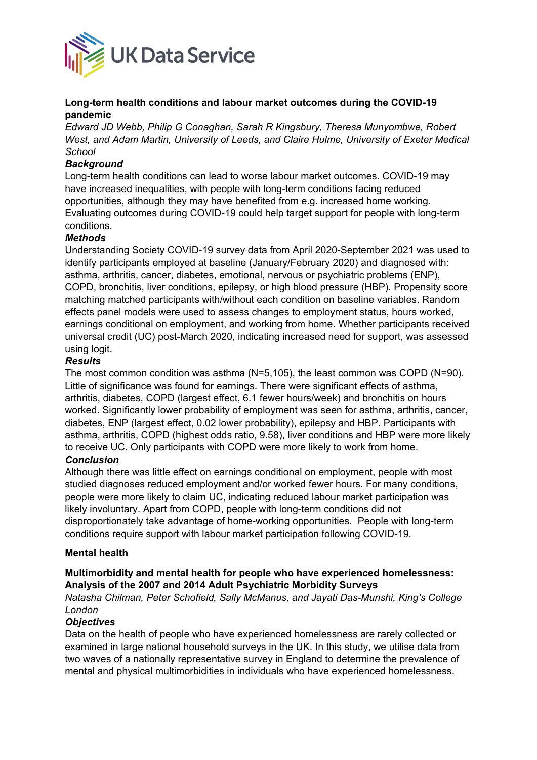

### **Long-term health conditions and labour market outcomes during the COVID-19 pandemic**

*Edward JD Webb, Philip G Conaghan, Sarah R Kingsbury, Theresa Munyombwe, Robert West, and Adam Martin, University of Leeds, and Claire Hulme, University of Exeter Medical School*

#### *Background*

Long-term health conditions can lead to worse labour market outcomes. COVID-19 may have increased inequalities, with people with long-term conditions facing reduced opportunities, although they may have benefited from e.g. increased home working. Evaluating outcomes during COVID-19 could help target support for people with long-term conditions.

#### *Methods*

Understanding Society COVID-19 survey data from April 2020-September 2021 was used to identify participants employed at baseline (January/February 2020) and diagnosed with: asthma, arthritis, cancer, diabetes, emotional, nervous or psychiatric problems (ENP), COPD, bronchitis, liver conditions, epilepsy, or high blood pressure (HBP). Propensity score matching matched participants with/without each condition on baseline variables. Random effects panel models were used to assess changes to employment status, hours worked, earnings conditional on employment, and working from home. Whether participants received universal credit (UC) post-March 2020, indicating increased need for support, was assessed using logit.

#### *Results*

The most common condition was asthma (N=5,105), the least common was COPD (N=90). Little of significance was found for earnings. There were significant effects of asthma, arthritis, diabetes, COPD (largest effect, 6.1 fewer hours/week) and bronchitis on hours worked. Significantly lower probability of employment was seen for asthma, arthritis, cancer, diabetes, ENP (largest effect, 0.02 lower probability), epilepsy and HBP. Participants with asthma, arthritis, COPD (highest odds ratio, 9.58), liver conditions and HBP were more likely to receive UC. Only participants with COPD were more likely to work from home.

### *Conclusion*

Although there was little effect on earnings conditional on employment, people with most studied diagnoses reduced employment and/or worked fewer hours. For many conditions, people were more likely to claim UC, indicating reduced labour market participation was likely involuntary. Apart from COPD, people with long-term conditions did not disproportionately take advantage of home-working opportunities. People with long-term conditions require support with labour market participation following COVID-19.

#### **Mental health**

#### **Multimorbidity and mental health for people who have experienced homelessness: Analysis of the 2007 and 2014 Adult Psychiatric Morbidity Surveys**

*Natasha Chilman, Peter Schofield, Sally McManus, and Jayati Das-Munshi, King's College London*

#### *Objectives*

Data on the health of people who have experienced homelessness are rarely collected or examined in large national household surveys in the UK. In this study, we utilise data from two waves of a nationally representative survey in England to determine the prevalence of mental and physical multimorbidities in individuals who have experienced homelessness.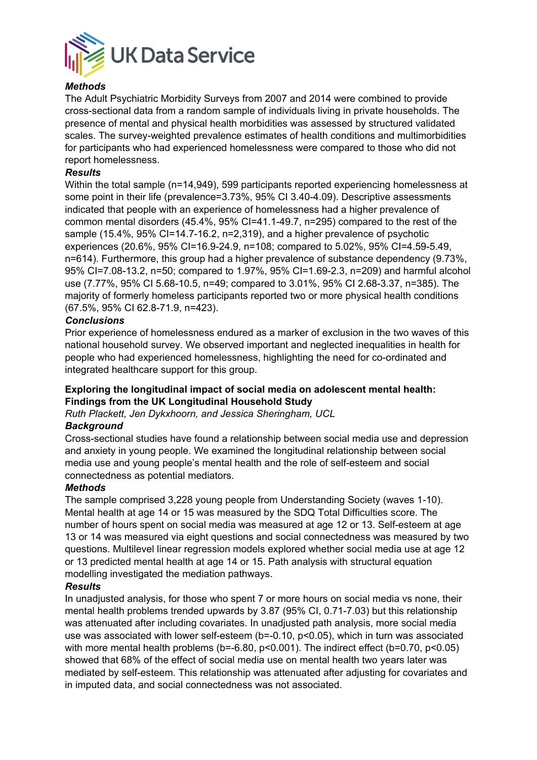

# *Methods*

The Adult Psychiatric Morbidity Surveys from 2007 and 2014 were combined to provide cross-sectional data from a random sample of individuals living in private households. The presence of mental and physical health morbidities was assessed by structured validated scales. The survey-weighted prevalence estimates of health conditions and multimorbidities for participants who had experienced homelessness were compared to those who did not report homelessness.

#### *Results*

Within the total sample (n=14,949), 599 participants reported experiencing homelessness at some point in their life (prevalence=3.73%, 95% CI 3.40-4.09). Descriptive assessments indicated that people with an experience of homelessness had a higher prevalence of common mental disorders (45.4%, 95% CI=41.1-49.7, n=295) compared to the rest of the sample (15.4%, 95% CI=14.7-16.2, n=2,319), and a higher prevalence of psychotic experiences (20.6%, 95% CI=16.9-24.9, n=108; compared to 5.02%, 95% CI=4.59-5.49, n=614). Furthermore, this group had a higher prevalence of substance dependency (9.73%, 95% CI=7.08-13.2, n=50; compared to 1.97%, 95% CI=1.69-2.3, n=209) and harmful alcohol use (7.77%, 95% CI 5.68-10.5, n=49; compared to 3.01%, 95% CI 2.68-3.37, n=385). The majority of formerly homeless participants reported two or more physical health conditions (67.5%, 95% CI 62.8-71.9, n=423).

#### *Conclusions*

Prior experience of homelessness endured as a marker of exclusion in the two waves of this national household survey. We observed important and neglected inequalities in health for people who had experienced homelessness, highlighting the need for co-ordinated and integrated healthcare support for this group.

#### **Exploring the longitudinal impact of social media on adolescent mental health: Findings from the UK Longitudinal Household Study**

*Ruth Plackett, Jen Dykxhoorn, and Jessica Sheringham, UCL*

#### *Background*

Cross-sectional studies have found a relationship between social media use and depression and anxiety in young people. We examined the longitudinal relationship between social media use and young people's mental health and the role of self-esteem and social connectedness as potential mediators.

#### *Methods*

The sample comprised 3,228 young people from Understanding Society (waves 1-10). Mental health at age 14 or 15 was measured by the SDQ Total Difficulties score. The number of hours spent on social media was measured at age 12 or 13. Self-esteem at age 13 or 14 was measured via eight questions and social connectedness was measured by two questions. Multilevel linear regression models explored whether social media use at age 12 or 13 predicted mental health at age 14 or 15. Path analysis with structural equation modelling investigated the mediation pathways.

#### *Results*

In unadjusted analysis, for those who spent 7 or more hours on social media vs none, their mental health problems trended upwards by 3.87 (95% CI, 0.71-7.03) but this relationship was attenuated after including covariates. In unadjusted path analysis, more social media use was associated with lower self-esteem (b=-0.10, p<0.05), which in turn was associated with more mental health problems (b=-6.80, p<0.001). The indirect effect (b=0.70, p<0.05) showed that 68% of the effect of social media use on mental health two years later was mediated by self-esteem. This relationship was attenuated after adjusting for covariates and in imputed data, and social connectedness was not associated.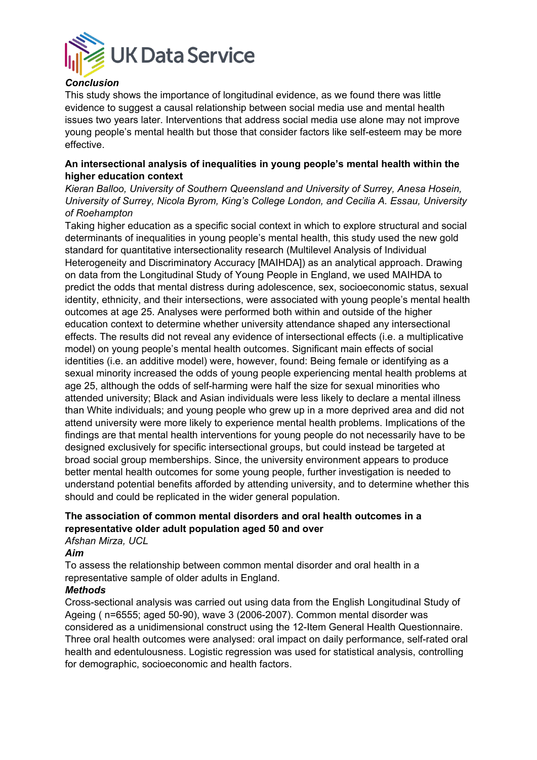

### *Conclusion*

This study shows the importance of longitudinal evidence, as we found there was little evidence to suggest a causal relationship between social media use and mental health issues two years later. Interventions that address social media use alone may not improve young people's mental health but those that consider factors like self-esteem may be more effective.

#### **An intersectional analysis of inequalities in young people's mental health within the higher education context**

*Kieran Balloo, University of Southern Queensland and University of Surrey, Anesa Hosein, University of Surrey, Nicola Byrom, King's College London, and Cecilia A. Essau, University of Roehampton*

Taking higher education as a specific social context in which to explore structural and social determinants of inequalities in young people's mental health, this study used the new gold standard for quantitative intersectionality research (Multilevel Analysis of Individual Heterogeneity and Discriminatory Accuracy [MAIHDA]) as an analytical approach. Drawing on data from the Longitudinal Study of Young People in England, we used MAIHDA to predict the odds that mental distress during adolescence, sex, socioeconomic status, sexual identity, ethnicity, and their intersections, were associated with young people's mental health outcomes at age 25. Analyses were performed both within and outside of the higher education context to determine whether university attendance shaped any intersectional effects. The results did not reveal any evidence of intersectional effects (i.e. a multiplicative model) on young people's mental health outcomes. Significant main effects of social identities (i.e. an additive model) were, however, found: Being female or identifying as a sexual minority increased the odds of young people experiencing mental health problems at age 25, although the odds of self-harming were half the size for sexual minorities who attended university; Black and Asian individuals were less likely to declare a mental illness than White individuals; and young people who grew up in a more deprived area and did not attend university were more likely to experience mental health problems. Implications of the findings are that mental health interventions for young people do not necessarily have to be designed exclusively for specific intersectional groups, but could instead be targeted at broad social group memberships. Since, the university environment appears to produce better mental health outcomes for some young people, further investigation is needed to understand potential benefits afforded by attending university, and to determine whether this should and could be replicated in the wider general population.

#### **The association of common mental disorders and oral health outcomes in a representative older adult population aged 50 and over** *Afshan Mirza, UCL*

*Aim*

To assess the relationship between common mental disorder and oral health in a representative sample of older adults in England.

#### *Methods*

Cross-sectional analysis was carried out using data from the English Longitudinal Study of Ageing ( n=6555; aged 50-90), wave 3 (2006-2007). Common mental disorder was considered as a unidimensional construct using the 12-Item General Health Questionnaire. Three oral health outcomes were analysed: oral impact on daily performance, self-rated oral health and edentulousness. Logistic regression was used for statistical analysis, controlling for demographic, socioeconomic and health factors.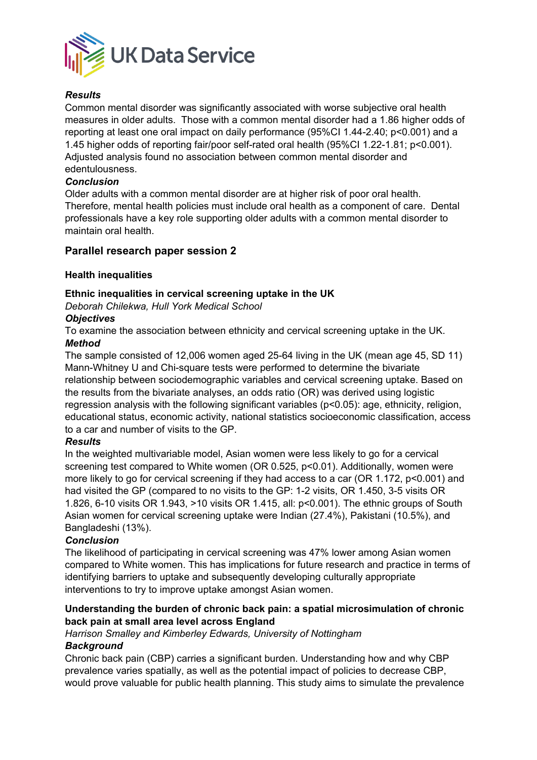

# *Results*

Common mental disorder was significantly associated with worse subjective oral health measures in older adults. Those with a common mental disorder had a 1.86 higher odds of reporting at least one oral impact on daily performance (95%CI 1.44-2.40; p<0.001) and a 1.45 higher odds of reporting fair/poor self-rated oral health (95%CI 1.22-1.81; p<0.001). Adjusted analysis found no association between common mental disorder and edentulousness.

# *Conclusion*

Older adults with a common mental disorder are at higher risk of poor oral health. Therefore, mental health policies must include oral health as a component of care. Dental professionals have a key role supporting older adults with a common mental disorder to maintain oral health.

# **Parallel research paper session 2**

# **Health inequalities**

# **Ethnic inequalities in cervical screening uptake in the UK**

*Deborah Chilekwa, Hull York Medical School*

#### *Objectives*

To examine the association between ethnicity and cervical screening uptake in the UK. *Method*

The sample consisted of 12,006 women aged 25-64 living in the UK (mean age 45, SD 11) Mann-Whitney U and Chi-square tests were performed to determine the bivariate relationship between sociodemographic variables and cervical screening uptake. Based on the results from the bivariate analyses, an odds ratio (OR) was derived using logistic regression analysis with the following significant variables (p<0.05): age, ethnicity, religion, educational status, economic activity, national statistics socioeconomic classification, access to a car and number of visits to the GP.

#### *Results*

In the weighted multivariable model, Asian women were less likely to go for a cervical screening test compared to White women (OR 0.525, p<0.01). Additionally, women were more likely to go for cervical screening if they had access to a car (OR 1.172, p<0.001) and had visited the GP (compared to no visits to the GP: 1-2 visits, OR 1.450, 3-5 visits OR 1.826, 6-10 visits OR 1.943, >10 visits OR 1.415, all: p<0.001). The ethnic groups of South Asian women for cervical screening uptake were Indian (27.4%), Pakistani (10.5%), and Bangladeshi (13%).

#### *Conclusion*

The likelihood of participating in cervical screening was 47% lower among Asian women compared to White women. This has implications for future research and practice in terms of identifying barriers to uptake and subsequently developing culturally appropriate interventions to try to improve uptake amongst Asian women.

# **Understanding the burden of chronic back pain: a spatial microsimulation of chronic back pain at small area level across England**

#### *Harrison Smalley and Kimberley Edwards, University of Nottingham*

#### *Background*

Chronic back pain (CBP) carries a significant burden. Understanding how and why CBP prevalence varies spatially, as well as the potential impact of policies to decrease CBP, would prove valuable for public health planning. This study aims to simulate the prevalence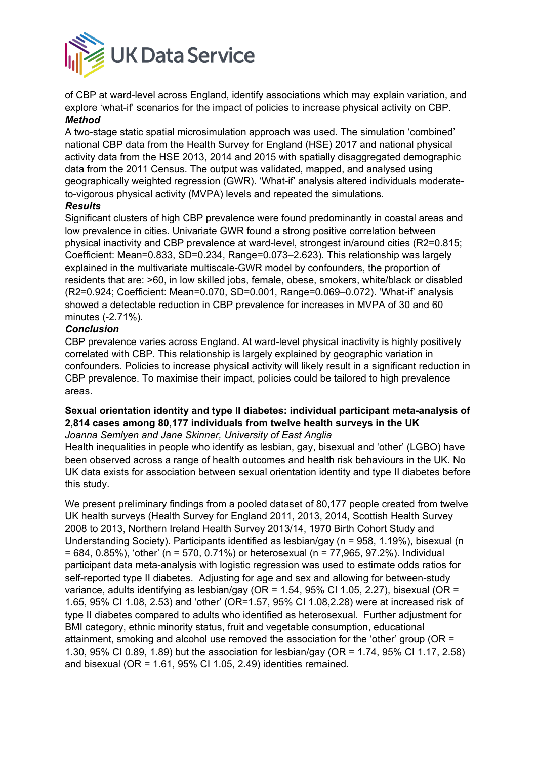

of CBP at ward-level across England, identify associations which may explain variation, and explore 'what-if' scenarios for the impact of policies to increase physical activity on CBP. *Method*

A two-stage static spatial microsimulation approach was used. The simulation 'combined' national CBP data from the Health Survey for England (HSE) 2017 and national physical activity data from the HSE 2013, 2014 and 2015 with spatially disaggregated demographic data from the 2011 Census. The output was validated, mapped, and analysed using geographically weighted regression (GWR). 'What-if' analysis altered individuals moderateto-vigorous physical activity (MVPA) levels and repeated the simulations.

#### *Results*

Significant clusters of high CBP prevalence were found predominantly in coastal areas and low prevalence in cities. Univariate GWR found a strong positive correlation between physical inactivity and CBP prevalence at ward-level, strongest in/around cities (R2=0.815; Coefficient: Mean=0.833, SD=0.234, Range=0.073–2.623). This relationship was largely explained in the multivariate multiscale-GWR model by confounders, the proportion of residents that are: >60, in low skilled jobs, female, obese, smokers, white/black or disabled (R2=0.924; Coefficient: Mean=0.070, SD=0.001, Range=0.069–0.072). 'What-if' analysis showed a detectable reduction in CBP prevalence for increases in MVPA of 30 and 60 minutes (-2.71%).

# *Conclusion*

CBP prevalence varies across England. At ward-level physical inactivity is highly positively correlated with CBP. This relationship is largely explained by geographic variation in confounders. Policies to increase physical activity will likely result in a significant reduction in CBP prevalence. To maximise their impact, policies could be tailored to high prevalence areas.

# **Sexual orientation identity and type II diabetes: individual participant meta-analysis of 2,814 cases among 80,177 individuals from twelve health surveys in the UK**

*Joanna Semlyen and Jane Skinner, University of East Anglia*

Health inequalities in people who identify as lesbian, gay, bisexual and 'other' (LGBO) have been observed across a range of health outcomes and health risk behaviours in the UK. No UK data exists for association between sexual orientation identity and type II diabetes before this study.

We present preliminary findings from a pooled dataset of 80,177 people created from twelve UK health surveys (Health Survey for England 2011, 2013, 2014, Scottish Health Survey 2008 to 2013, Northern Ireland Health Survey 2013/14, 1970 Birth Cohort Study and Understanding Society). Participants identified as lesbian/gay (n = 958, 1.19%), bisexual (n  $= 684, 0.85\%$ ), 'other' (n = 570, 0.71%) or heterosexual (n = 77,965, 97.2%). Individual participant data meta-analysis with logistic regression was used to estimate odds ratios for self-reported type II diabetes. Adjusting for age and sex and allowing for between-study variance, adults identifying as lesbian/gay (OR = 1.54, 95% CI 1.05, 2.27), bisexual (OR = 1.65, 95% CI 1.08, 2.53) and 'other' (OR=1.57, 95% CI 1.08,2.28) were at increased risk of type II diabetes compared to adults who identified as heterosexual. Further adjustment for BMI category, ethnic minority status, fruit and vegetable consumption, educational attainment, smoking and alcohol use removed the association for the 'other' group (OR = 1.30, 95% CI 0.89, 1.89) but the association for lesbian/gay (OR = 1.74, 95% CI 1.17, 2.58) and bisexual (OR =  $1.61$ , 95% CI 1.05, 2.49) identities remained.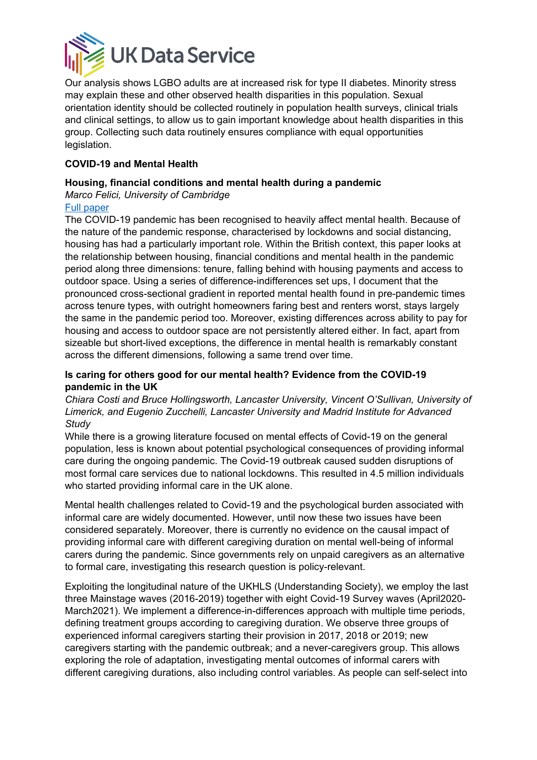

Our analysis shows LGBO adults are at increased risk for type II diabetes. Minority stress may explain these and other observed health disparities in this population. Sexual orientation identity should be collected routinely in population health surveys, clinical trials and clinical settings, to allow us to gain important knowledge about health disparities in this group. Collecting such data routinely ensures compliance with equal opportunities legislation.

# **COVID-19 and Mental Health**

### **Housing, financial conditions and mental health during a pandemic**

*Marco Felici, University of Cambridge*

# [Full paper](https://papers.ssrn.com/sol3/papers.cfm?abstract_id=3978482)

The COVID-19 pandemic has been recognised to heavily affect mental health. Because of the nature of the pandemic response, characterised by lockdowns and social distancing, housing has had a particularly important role. Within the British context, this paper looks at the relationship between housing, financial conditions and mental health in the pandemic period along three dimensions: tenure, falling behind with housing payments and access to outdoor space. Using a series of difference-indifferences set ups, I document that the pronounced cross-sectional gradient in reported mental health found in pre-pandemic times across tenure types, with outright homeowners faring best and renters worst, stays largely the same in the pandemic period too. Moreover, existing differences across ability to pay for housing and access to outdoor space are not persistently altered either. In fact, apart from sizeable but short-lived exceptions, the difference in mental health is remarkably constant across the different dimensions, following a same trend over time.

# **Is caring for others good for our mental health? Evidence from the COVID-19 pandemic in the UK**

*Chiara Costi and Bruce Hollingsworth, Lancaster University, Vincent O'Sullivan, University of Limerick, and Eugenio Zucchelli, Lancaster University and Madrid Institute for Advanced Study*

While there is a growing literature focused on mental effects of Covid-19 on the general population, less is known about potential psychological consequences of providing informal care during the ongoing pandemic. The Covid-19 outbreak caused sudden disruptions of most formal care services due to national lockdowns. This resulted in 4.5 million individuals who started providing informal care in the UK alone.

Mental health challenges related to Covid-19 and the psychological burden associated with informal care are widely documented. However, until now these two issues have been considered separately. Moreover, there is currently no evidence on the causal impact of providing informal care with different caregiving duration on mental well-being of informal carers during the pandemic. Since governments rely on unpaid caregivers as an alternative to formal care, investigating this research question is policy-relevant.

Exploiting the longitudinal nature of the UKHLS (Understanding Society), we employ the last three Mainstage waves (2016-2019) together with eight Covid-19 Survey waves (April2020- March2021). We implement a difference-in-differences approach with multiple time periods, defining treatment groups according to caregiving duration. We observe three groups of experienced informal caregivers starting their provision in 2017, 2018 or 2019; new caregivers starting with the pandemic outbreak; and a never-caregivers group. This allows exploring the role of adaptation, investigating mental outcomes of informal carers with different caregiving durations, also including control variables. As people can self-select into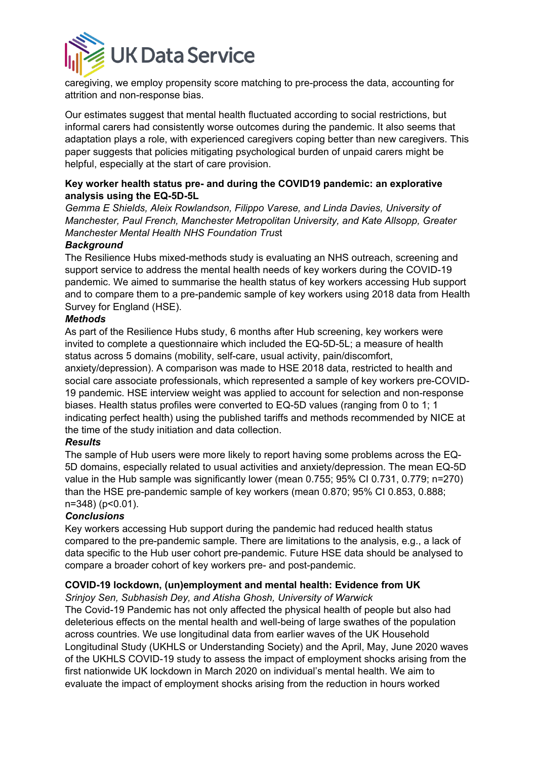

caregiving, we employ propensity score matching to pre-process the data, accounting for attrition and non-response bias.

Our estimates suggest that mental health fluctuated according to social restrictions, but informal carers had consistently worse outcomes during the pandemic. It also seems that adaptation plays a role, with experienced caregivers coping better than new caregivers. This paper suggests that policies mitigating psychological burden of unpaid carers might be helpful, especially at the start of care provision.

# **Key worker health status pre- and during the COVID19 pandemic: an explorative analysis using the EQ-5D-5L**

*Gemma E Shields, Aleix Rowlandson, Filippo Varese, and Linda Davies, University of Manchester, Paul French, Manchester Metropolitan University, and Kate Allsopp, Greater Manchester Mental Health NHS Foundation Trus*t

#### *Background*

The Resilience Hubs mixed-methods study is evaluating an NHS outreach, screening and support service to address the mental health needs of key workers during the COVID-19 pandemic. We aimed to summarise the health status of key workers accessing Hub support and to compare them to a pre-pandemic sample of key workers using 2018 data from Health Survey for England (HSE).

#### *Methods*

As part of the Resilience Hubs study, 6 months after Hub screening, key workers were invited to complete a questionnaire which included the EQ-5D-5L; a measure of health status across 5 domains (mobility, self-care, usual activity, pain/discomfort,

anxiety/depression). A comparison was made to HSE 2018 data, restricted to health and social care associate professionals, which represented a sample of key workers pre-COVID-19 pandemic. HSE interview weight was applied to account for selection and non-response biases. Health status profiles were converted to EQ-5D values (ranging from 0 to 1; 1 indicating perfect health) using the published tariffs and methods recommended by NICE at the time of the study initiation and data collection.

#### *Results*

The sample of Hub users were more likely to report having some problems across the EQ-5D domains, especially related to usual activities and anxiety/depression. The mean EQ-5D value in the Hub sample was significantly lower (mean 0.755; 95% CI 0.731, 0.779; n=270) than the HSE pre-pandemic sample of key workers (mean 0.870; 95% CI 0.853, 0.888; n=348) (p<0.01).

#### *Conclusions*

Key workers accessing Hub support during the pandemic had reduced health status compared to the pre-pandemic sample. There are limitations to the analysis, e.g., a lack of data specific to the Hub user cohort pre-pandemic. Future HSE data should be analysed to compare a broader cohort of key workers pre- and post-pandemic.

#### **COVID-19 lockdown, (un)employment and mental health: Evidence from UK**

*Srinjoy Sen, Subhasish Dey, and Atisha Ghosh, University of Warwick*

The Covid-19 Pandemic has not only affected the physical health of people but also had deleterious effects on the mental health and well-being of large swathes of the population across countries. We use longitudinal data from earlier waves of the UK Household Longitudinal Study (UKHLS or Understanding Society) and the April, May, June 2020 waves of the UKHLS COVID-19 study to assess the impact of employment shocks arising from the first nationwide UK lockdown in March 2020 on individual's mental health. We aim to evaluate the impact of employment shocks arising from the reduction in hours worked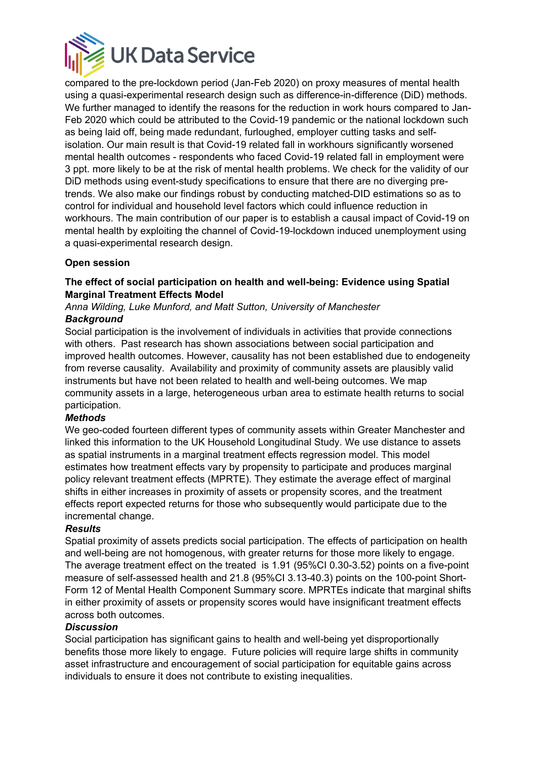

compared to the pre-lockdown period (Jan-Feb 2020) on proxy measures of mental health using a quasi-experimental research design such as difference-in-difference (DiD) methods. We further managed to identify the reasons for the reduction in work hours compared to Jan-Feb 2020 which could be attributed to the Covid-19 pandemic or the national lockdown such as being laid off, being made redundant, furloughed, employer cutting tasks and selfisolation. Our main result is that Covid-19 related fall in workhours significantly worsened mental health outcomes - respondents who faced Covid-19 related fall in employment were 3 ppt. more likely to be at the risk of mental health problems. We check for the validity of our DiD methods using event-study specifications to ensure that there are no diverging pretrends. We also make our findings robust by conducting matched-DID estimations so as to control for individual and household level factors which could influence reduction in workhours. The main contribution of our paper is to establish a causal impact of Covid-19 on mental health by exploiting the channel of Covid-19-lockdown induced unemployment using a quasi-experimental research design.

# **Open session**

### **The effect of social participation on health and well-being: Evidence using Spatial Marginal Treatment Effects Model**

*Anna Wilding, Luke Munford, and Matt Sutton, University of Manchester Background*

Social participation is the involvement of individuals in activities that provide connections with others. Past research has shown associations between social participation and improved health outcomes. However, causality has not been established due to endogeneity from reverse causality. Availability and proximity of community assets are plausibly valid instruments but have not been related to health and well-being outcomes. We map community assets in a large, heterogeneous urban area to estimate health returns to social participation.

#### *Methods*

We geo-coded fourteen different types of community assets within Greater Manchester and linked this information to the UK Household Longitudinal Study. We use distance to assets as spatial instruments in a marginal treatment effects regression model. This model estimates how treatment effects vary by propensity to participate and produces marginal policy relevant treatment effects (MPRTE). They estimate the average effect of marginal shifts in either increases in proximity of assets or propensity scores, and the treatment effects report expected returns for those who subsequently would participate due to the incremental change.

#### *Results*

Spatial proximity of assets predicts social participation. The effects of participation on health and well-being are not homogenous, with greater returns for those more likely to engage. The average treatment effect on the treated is 1.91 (95%CI 0.30-3.52) points on a five-point measure of self-assessed health and 21.8 (95%CI 3.13-40.3) points on the 100-point Short-Form 12 of Mental Health Component Summary score. MPRTEs indicate that marginal shifts in either proximity of assets or propensity scores would have insignificant treatment effects across both outcomes.

#### *Discussion*

Social participation has significant gains to health and well-being yet disproportionally benefits those more likely to engage. Future policies will require large shifts in community asset infrastructure and encouragement of social participation for equitable gains across individuals to ensure it does not contribute to existing inequalities.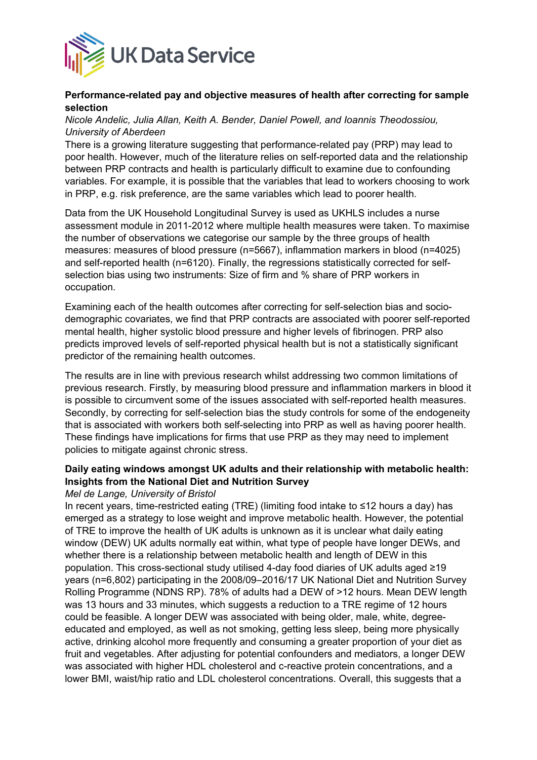

#### **Performance-related pay and objective measures of health after correcting for sample selection**

### *Nicole Andelic, Julia Allan, Keith A. Bender, Daniel Powell, and Ioannis Theodossiou, University of Aberdeen*

There is a growing literature suggesting that performance-related pay (PRP) may lead to poor health. However, much of the literature relies on self-reported data and the relationship between PRP contracts and health is particularly difficult to examine due to confounding variables. For example, it is possible that the variables that lead to workers choosing to work in PRP, e.g. risk preference, are the same variables which lead to poorer health.

Data from the UK Household Longitudinal Survey is used as UKHLS includes a nurse assessment module in 2011-2012 where multiple health measures were taken. To maximise the number of observations we categorise our sample by the three groups of health measures: measures of blood pressure (n=5667), inflammation markers in blood (n=4025) and self-reported health (n=6120). Finally, the regressions statistically corrected for selfselection bias using two instruments: Size of firm and % share of PRP workers in occupation.

Examining each of the health outcomes after correcting for self-selection bias and sociodemographic covariates, we find that PRP contracts are associated with poorer self-reported mental health, higher systolic blood pressure and higher levels of fibrinogen. PRP also predicts improved levels of self-reported physical health but is not a statistically significant predictor of the remaining health outcomes.

The results are in line with previous research whilst addressing two common limitations of previous research. Firstly, by measuring blood pressure and inflammation markers in blood it is possible to circumvent some of the issues associated with self-reported health measures. Secondly, by correcting for self-selection bias the study controls for some of the endogeneity that is associated with workers both self-selecting into PRP as well as having poorer health. These findings have implications for firms that use PRP as they may need to implement policies to mitigate against chronic stress.

# **Daily eating windows amongst UK adults and their relationship with metabolic health: Insights from the National Diet and Nutrition Survey**

#### *Mel de Lange, University of Bristol*

In recent years, time-restricted eating (TRE) (limiting food intake to ≤12 hours a day) has emerged as a strategy to lose weight and improve metabolic health. However, the potential of TRE to improve the health of UK adults is unknown as it is unclear what daily eating window (DEW) UK adults normally eat within, what type of people have longer DEWs, and whether there is a relationship between metabolic health and length of DEW in this population. This cross-sectional study utilised 4-day food diaries of UK adults aged ≥19 years (n=6,802) participating in the 2008/09–2016/17 UK National Diet and Nutrition Survey Rolling Programme (NDNS RP). 78% of adults had a DEW of >12 hours. Mean DEW length was 13 hours and 33 minutes, which suggests a reduction to a TRE regime of 12 hours could be feasible. A longer DEW was associated with being older, male, white, degreeeducated and employed, as well as not smoking, getting less sleep, being more physically active, drinking alcohol more frequently and consuming a greater proportion of your diet as fruit and vegetables. After adjusting for potential confounders and mediators, a longer DEW was associated with higher HDL cholesterol and c-reactive protein concentrations, and a lower BMI, waist/hip ratio and LDL cholesterol concentrations. Overall, this suggests that a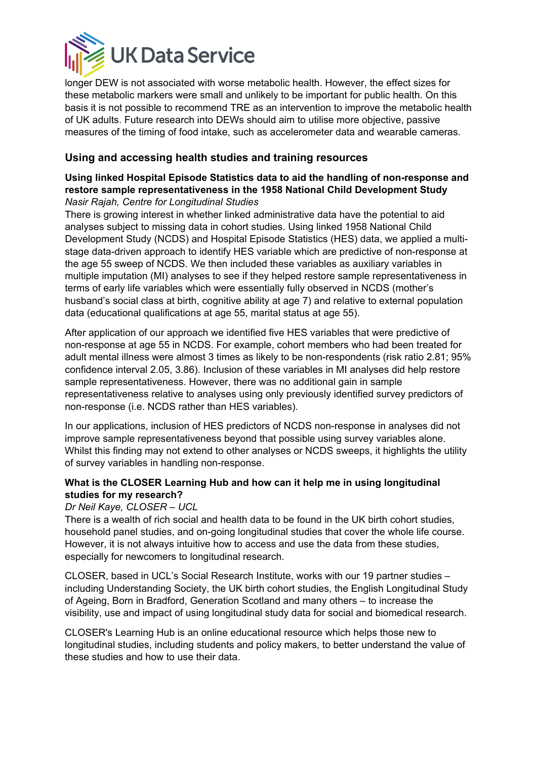

longer DEW is not associated with worse metabolic health. However, the effect sizes for these metabolic markers were small and unlikely to be important for public health. On this basis it is not possible to recommend TRE as an intervention to improve the metabolic health of UK adults. Future research into DEWs should aim to utilise more objective, passive measures of the timing of food intake, such as accelerometer data and wearable cameras.

# **Using and accessing health studies and training resources**

#### **Using linked Hospital Episode Statistics data to aid the handling of non-response and restore sample representativeness in the 1958 National Child Development Study** *Nasir Rajah, Centre for Longitudinal Studies*

There is growing interest in whether linked administrative data have the potential to aid analyses subject to missing data in cohort studies. Using linked 1958 National Child Development Study (NCDS) and Hospital Episode Statistics (HES) data, we applied a multistage data-driven approach to identify HES variable which are predictive of non-response at the age 55 sweep of NCDS. We then included these variables as auxiliary variables in multiple imputation (MI) analyses to see if they helped restore sample representativeness in terms of early life variables which were essentially fully observed in NCDS (mother's husband's social class at birth, cognitive ability at age 7) and relative to external population data (educational qualifications at age 55, marital status at age 55).

After application of our approach we identified five HES variables that were predictive of non-response at age 55 in NCDS. For example, cohort members who had been treated for adult mental illness were almost 3 times as likely to be non-respondents (risk ratio 2.81; 95% confidence interval 2.05, 3.86). Inclusion of these variables in MI analyses did help restore sample representativeness. However, there was no additional gain in sample representativeness relative to analyses using only previously identified survey predictors of non-response (i.e. NCDS rather than HES variables).

In our applications, inclusion of HES predictors of NCDS non-response in analyses did not improve sample representativeness beyond that possible using survey variables alone. Whilst this finding may not extend to other analyses or NCDS sweeps, it highlights the utility of survey variables in handling non-response.

# **What is the CLOSER Learning Hub and how can it help me in using longitudinal studies for my research?**

# *Dr Neil Kaye, CLOSER – UCL*

There is a wealth of rich social and health data to be found in the UK birth cohort studies, household panel studies, and on-going longitudinal studies that cover the whole life course. However, it is not always intuitive how to access and use the data from these studies, especially for newcomers to longitudinal research.

CLOSER, based in UCL's Social Research Institute, works with our 19 partner studies – including Understanding Society, the UK birth cohort studies, the English Longitudinal Study of Ageing, Born in Bradford, Generation Scotland and many others – to increase the visibility, use and impact of using longitudinal study data for social and biomedical research.

CLOSER's Learning Hub is an online educational resource which helps those new to longitudinal studies, including students and policy makers, to better understand the value of these studies and how to use their data.